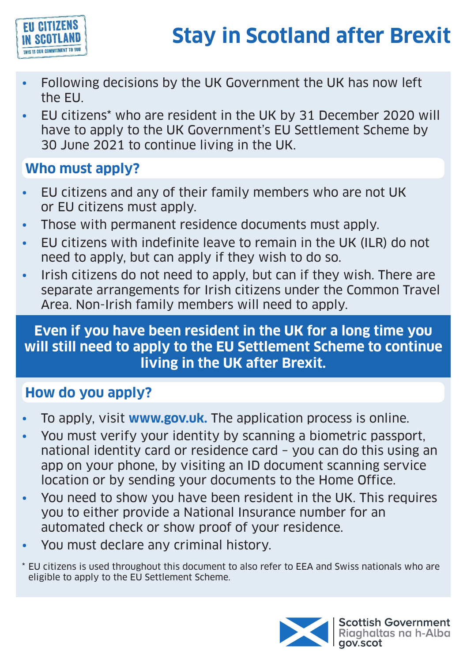

- Following decisions by the UK Government the UK has now left the EU.
- EU citizens\* who are resident in the UK by 31 December 2020 will have to apply to the UK Government's EU Settlement Scheme by 30 June 2021 to continue living in the UK.

# **Who must apply?**

- EU citizens and any of their family members who are not UK or EU citizens must apply.
- Those with permanent residence documents must apply.
- EU citizens with indefinite leave to remain in the UK (ILR) do not need to apply, but can apply if they wish to do so.
- Irish citizens do not need to apply, but can if they wish. There are separate arrangements for Irish citizens under the Common Travel Area. Non-Irish family members will need to apply.

#### • **will still need to apply to the EU Settlement Scheme to continue Even if you have been resident in the UK for a long time you living in the UK after Brexit.**

## **How do you apply?**

- To apply, visit **[www.gov.uk](http://www.gov.uk).** The application process is online.
- You must verify your identity by scanning a biometric passport, national identity card or residence card – you can do this using an app on your phone, by visiting an ID document scanning service location or by sending your documents to the Home Office.
- You need to show you have been resident in the UK. This requires you to either provide a National Insurance number for an automated check or show proof of your residence.
- You must declare any criminal history.
- \* EU citizens is used throughout this document to also refer to EEA and Swiss nationals who are eligible to apply to the EU Settlement Scheme.